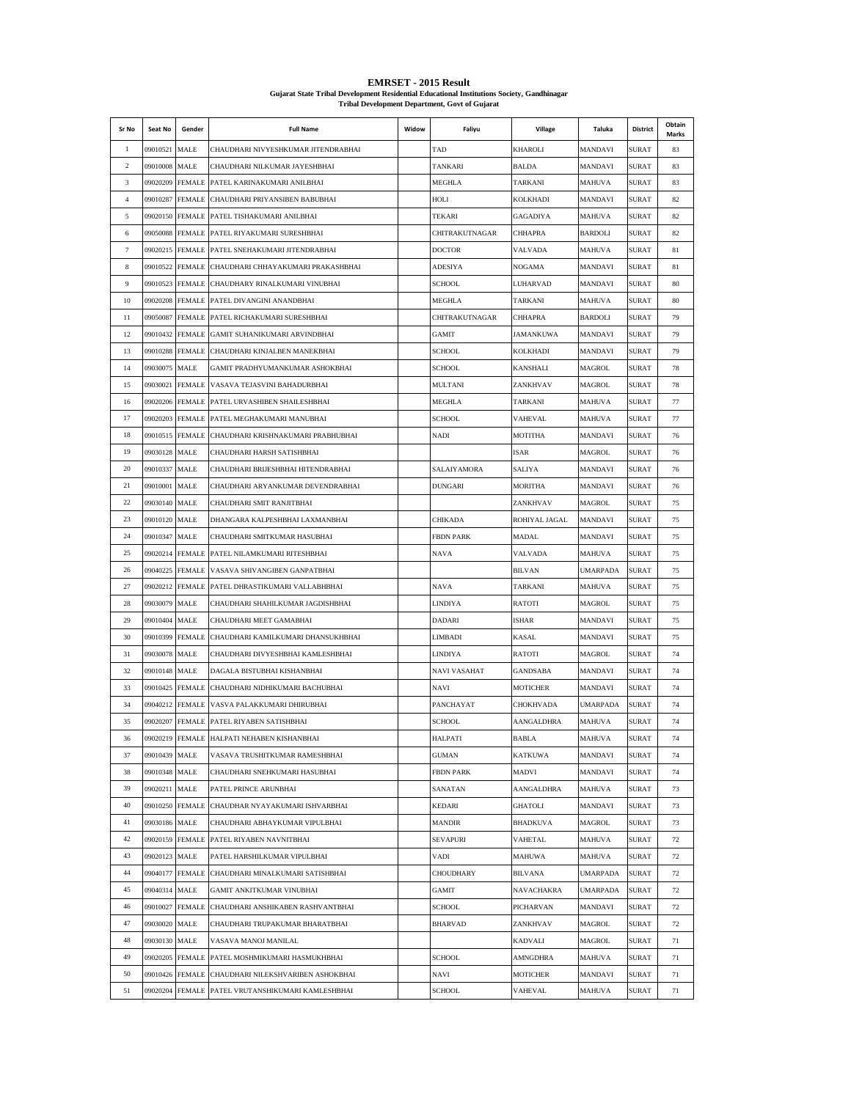| <b>EMRSET - 2015 Result</b>                                                                |
|--------------------------------------------------------------------------------------------|
| Guiarat State Tribal Development Residential Educational Institutions Society, Gandhinagar |
| <b>Tribal Development Department, Govt of Guiarat</b>                                      |

| Sr No            | Seat No         | Gender          | <b>Full Name</b>                           | Widow | Faliyu           | Village          | Taluka          | District     | Obtain<br>Marks |
|------------------|-----------------|-----------------|--------------------------------------------|-------|------------------|------------------|-----------------|--------------|-----------------|
| 1                | 09010521        | MALE            | CHAUDHARI NIVYESHKUMAR JITENDRABHAI        |       | TAD              | KHAROLI          | MANDAVI         | SURAT        | 83              |
| $\overline{c}$   | 09010008 MALE   |                 | CHAUDHARI NILKUMAR JAYESHBHAI              |       | TANKARI          | <b>BALDA</b>     | <b>MANDAVI</b>  | SURAT        | 83              |
| 3                | 09020209 FEMALE |                 | PATEL KARINAKUMARI ANILBHAI                |       | MEGHLA           | TARKANI          | MAHUVA          | <b>SURAT</b> | 83              |
| $\overline{4}$   | 09010287 FEMALE |                 | CHAUDHARI PRIYANSIBEN BABUBHAI             |       | HOLI             | <b>KOLKHADI</b>  | MANDAVI         | SURAT        | 82              |
| 5                |                 | 09020150 FEMALE | PATEL TISHAKUMARI ANILBHAI                 |       | TEKARI           | <b>GAGADIYA</b>  | <b>MAHUVA</b>   | SURAT        | 82              |
| 6                |                 | 09050088 FEMALE | PATEL RIYAKUMARI SURESHBHAI                |       | CHITRAKUTNAGAR   | CHHAPRA          | <b>BARDOLI</b>  | SURAT        | 82              |
| 7                |                 | 09020215 FEMALE | PATEL SNEHAKUMARI JITENDRABHAI             |       | <b>DOCTOR</b>    | VALVADA          | <b>MAHUVA</b>   | SURAT        | 81              |
| 8                | 09010522 FEMALE |                 | CHAUDHARI CHHAYAKUMARI PRAKASHBHAI         |       | ADESIYA          | NOGAMA           | MANDAVI         | SURAT        | 81              |
| $\boldsymbol{9}$ |                 | 09010523 FEMALE | CHAUDHARY RINALKUMARI VINUBHAI             |       | <b>SCHOOL</b>    | LUHARVAD         | MANDAVI         | SURAT        | 80              |
| 10               |                 | 09020208 FEMALE | PATEL DIVANGINI ANANDBHAI                  |       | MEGHLA           | <b>TARKANI</b>   | MAHUVA          | SURAT        | 80              |
| 11               | 09050087        | <b>FEMALE</b>   | PATEL RICHAKUMARI SURESHBHAI               |       | CHITRAKUTNAGAR   | <b>CHHAPRA</b>   | <b>BARDOLI</b>  | SURAT        | 79              |
| 12               | 09010432 FEMALE |                 | GAMIT SUHANIKUMARI ARVINDBHAI              |       | <b>GAMIT</b>     | <b>JAMANKUWA</b> | MANDAVI         | SURAT        | 79              |
| 13               | 09010288 FEMALE |                 | CHAUDHARI KINJALBEN MANEKBHAI              |       | SCHOOL           | <b>KOLKHADI</b>  | MANDAVI         | SURAT        | 79              |
| 14               | 09030075 MALE   |                 | GAMIT PRADHYUMANKUMAR ASHOKBHAI            |       | <b>SCHOOL</b>    | KANSHALI         | <b>MAGROL</b>   | SURAT        | 78              |
| 15               | 09030021        | <b>FEMALE</b>   | VASAVA TEJASVINI BAHADURBHAI               |       | MULTANI          | ZANKHVAV         | <b>MAGROL</b>   | SURAT        | 78              |
| 16               | 09020206 FEMALE |                 | PATEL URVASHIBEN SHAILESHBHAI              |       | MEGHLA           | <b>TARKANI</b>   | <b>MAHUVA</b>   | SURAT        | 77              |
| 17               | 09020203 FEMALE |                 | PATEL MEGHAKUMARI MANUBHAI                 |       | <b>SCHOOL</b>    | VAHEVAL          | <b>MAHUVA</b>   | SURAT        | 77              |
| 18               | 09010515 FEMALE |                 | CHAUDHARI KRISHNAKUMARI PRABHUBHAI         |       | NADI             | MOTITHA          | MANDAVI         | SURAT        | 76              |
| 19               | 09030128 MALE   |                 | CHAUDHARI HARSH SATISHBHAI                 |       |                  | ISAR             | MAGROL          | SURAT        | 76              |
| 20               | 09010337 MALE   |                 | CHAUDHARI BRIJESHBHAI HITENDRABHAI         |       | SALAIYAMORA      | SALIYA           | MANDAVI         | SURAT        | 76              |
| 21               | 09010001        | <b>MALE</b>     | CHAUDHARI ARYANKUMAR DEVENDRABHAI          |       | <b>DUNGARI</b>   | MORITHA          | MANDAVI         | SURAT        | 76              |
| 22               | 09030140 MALE   |                 | CHAUDHARI SMIT RANJITBHAI                  |       |                  | ZANKHVAV         | <b>MAGROL</b>   | SURAT        | 75              |
| 23               | 09010120        | <b>MALE</b>     | DHANGARA KALPESHBHAI LAXMANBHAI            |       | CHIKADA          | ROHIYAL JAGAL    | MANDAVI         | SURAT        | 75              |
| 24               | 09010347        | MALE            | CHAUDHARI SMITKUMAR HASUBHAI               |       | FBDN PARK        | MADAL            | MANDAVI         | SURAT        | 75              |
| 25               | 09020214        | <b>FEMALE</b>   | PATEL NILAMKUMARI RITESHBHAI               |       | NAVA             | VALVADA          | MAHUVA          | SURAT        | 75              |
| 26               | 09040225        | <b>FEMALE</b>   | VASAVA SHIVANGIBEN GANPATBHAI              |       |                  | <b>BILVAN</b>    | <b>UMARPADA</b> | SURAT        | 75              |
| 27               | 09020212        | <b>FEMALE</b>   | PATEL DHRASTIKUMARI VALLABHBHAI            |       | NAVA             | TARKANI          | <b>MAHUVA</b>   | SURAT        | 75              |
| 28               | 09030079        | MALE            | CHAUDHARI SHAHILKUMAR JAGDISHBHAI          |       | LINDIYA          | RATOTI           | MAGROL          | SURAT        | 75              |
| 29               | 09010404 MALE   |                 | CHAUDHARI MEET GAMABHAI                    |       | DADARI           | ISHAR            | MANDAVI         | SURAT        | 75              |
| 30               | 09010399        | <b>FEMALE</b>   | CHAUDHARI KAMILKUMARI DHANSUKHBHAI         |       | LIMBADI          | KASAL            | MANDAVI         | SURAT        | 75              |
| 31               | 09030078        | MALE            | CHAUDHARI DIVYESHBHAI KAMLESHBHAI          |       | LINDIYA          | RATOTI           | MAGROL          | SURAT        | 74              |
| 32               | 09010148 MALE   |                 | DAGALA BISTUBHAI KISHANBHAI                |       | NAVI VASAHAT     | GANDSABA         | MANDAVI         | SURAT        | 74              |
| 33               | 09010425 FEMALE |                 | CHAUDHARI NIDHIKUMARI BACHUBHAI            |       | NAVI             | <b>MOTICHER</b>  | MANDAVI         | SURAT        | 74              |
| 34               | 09040212 FEMALE |                 | VASVA PALAKKUMARI DHIRUBHAI                |       | PANCHAYAT        | CHOKHVADA        | <b>UMARPADA</b> | SURAT        | 74              |
| 35               |                 |                 | 09020207 FEMALE PATEL RIYABEN SATISHBHAI   |       | <b>SCHOOL</b>    | AANGALDHRA       | MAHUVA          | <b>SURAT</b> | 74              |
| 36               |                 |                 | 09020219 FEMALE HALPATI NEHABEN KISHANBHAI |       | HALPATI          | <b>BABLA</b>     | <b>MAHUVA</b>   | SURAT        | 74              |
| 37               | 09010439 MALE   |                 | VASAVA TRUSHITKUMAR RAMESHBHAI             |       | GUMAN            | <b>KATKUWA</b>   | MANDAVI         | SURAT        | 74              |
| 38               | 09010348 MALE   |                 | CHAUDHARI SNEHKUMARI HASUBHAI              |       | <b>FBDN PARK</b> | MADVI            | MANDAVI         | <b>SURAT</b> | 74              |
| 39               | 09020211 MALE   |                 | PATEL PRINCE ARUNBHAI                      |       | SANATAN          | AANGALDHRA       | <b>MAHUVA</b>   | SURAT        | 73              |
| 40               | 09010250 FEMALE |                 | CHAUDHAR NYAYAKUMARI ISHVARBHAI            |       | <b>KEDARI</b>    | <b>GHATOLI</b>   | MANDAVI         | <b>SURAT</b> | 73              |
| 41               | 09030186 MALE   |                 | CHAUDHARI ABHAYKUMAR VIPULBHAI             |       | <b>MANDIR</b>    | <b>BHADKUVA</b>  | MAGROL          | <b>SURAT</b> | 73              |
| 42               | 09020159 FEMALE |                 | PATEL RIYABEN NAVNITBHAI                   |       | <b>SEVAPURI</b>  | VAHETAL          | MAHUVA          | <b>SURAT</b> | 72              |
| 43               | 09020123 MALE   |                 | PATEL HARSHILKUMAR VIPULBHAI               |       | <b>VADI</b>      | MAHUWA           | <b>MAHUVA</b>   | <b>SURAT</b> | 72              |
| 44               | 09040177 FEMALE |                 | CHAUDHARI MINALKUMARI SATISHBHAI           |       | CHOUDHARY        | <b>BILVANA</b>   | <b>UMARPADA</b> | <b>SURAT</b> | 72              |
| 45               | 09040314 MALE   |                 | GAMIT ANKITKUMAR VINUBHAI                  |       | GAMIT            | NAVACHAKRA       | <b>UMARPADA</b> | <b>SURAT</b> | 72              |
| 46               | 09010027 FEMALE |                 | CHAUDHARI ANSHIKABEN RASHVANTBHAI          |       | <b>SCHOOL</b>    | PICHARVAN        | MANDAVI         | <b>SURAT</b> | 72              |
| 47               | 09030020 MALE   |                 | CHAUDHARI TRUPAKUMAR BHARATBHAI            |       | <b>BHARVAD</b>   | ZANKHVAV         | MAGROL          | SURAT        | 72              |
| 48               | 09030130 MALE   |                 | VASAVA MANOJ MANILAL                       |       |                  | KADVALI          | MAGROL          | SURAT        | 71              |
| 49               | 09020205        | <b>FEMALE</b>   | PATEL MOSHMIKUMARI HASMUKHBHAI             |       | SCHOOL           | AMNGDHRA         | MAHUVA          | SURAT        | 71              |
| 50               | 09010426        | <b>FEMALE</b>   | CHAUDHARI NILEKSHVARIBEN ASHOKBHAI         |       | NAVI             | MOTICHER         | MANDAVI         | SURAT        | 71              |
| 51               | 09020204        | <b>FEMALE</b>   | PATEL VRUTANSHIKUMARI KAMLESHBHAI          |       | SCHOOL           | VAHEVAL          | MAHUVA          | SURAT        | 71              |